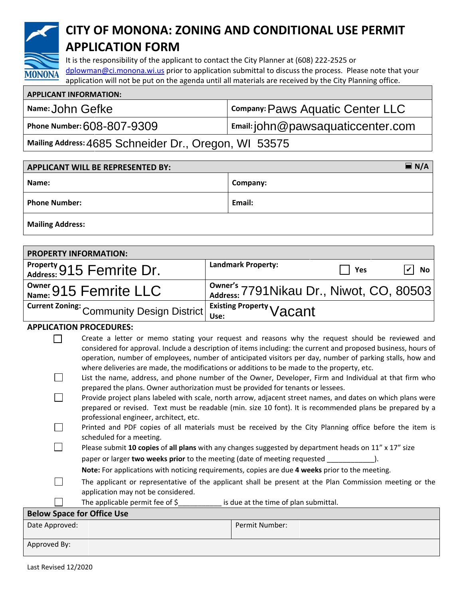

# **CITY OF MONONA: ZONING AND CONDITIONAL USE PERMIT APPLICATION FORM**

It is the responsibility of the applicant to contact the City Planner at (608) 222-2525 or dplowman@ci.monona.wi.us prior to application submittal to discuss the process. Please note that your application will not be put on the agenda until all materials are received by the City Planning office.

| <b>APPLICANT INFORMATION:</b>        |                                                |
|--------------------------------------|------------------------------------------------|
| All Name: John Gefke                 | Company: Paws Aquatic Center LLC               |
| Phone Number: $608$ - $807$ - $9309$ | $^{\prime}$ Email: john @pawsaquaticcenter.com |
|                                      | 1111 <b>-^---</b>                              |

**Mailing Address:** 4685 Schneider Dr., Oregon, WI 53575

| $\blacksquare$ N/A<br><b>APPLICANT WILL BE REPRESENTED BY:</b> |          |
|----------------------------------------------------------------|----------|
| Name:                                                          | Company: |
| <b>Phone Number:</b>                                           | Email:   |
| <b>Mailing Address:</b>                                        |          |

| <b>PROPERTY INFORMATION:</b>                                         |                                          |     |               |
|----------------------------------------------------------------------|------------------------------------------|-----|---------------|
| Property 915 Femrite Dr.                                             | <b>Landmark Property:</b>                | Yes | $\sqrt{V}$ No |
| $\frac{1}{N_\mathsf{aume}}$ 915 Femrite LLC                          | Owner's 7791 Nikau Dr., Niwot, CO, 80503 |     |               |
| Current Zoning: Community Design District   Existing Property Vacant |                                          |     |               |

#### **APPLICATION PROCEDURES:**

| $\mathbf{1}$ | Create a letter or memo stating your request and reasons why the request should be reviewed and                |
|--------------|----------------------------------------------------------------------------------------------------------------|
|              | considered for approval. Include a description of items including: the current and proposed business, hours of |
|              | operation, number of employees, number of anticipated visitors per day, number of parking stalls, how and      |
|              | where deliveries are made, the modifications or additions to be made to the property, etc.                     |
|              | List the name, address, and phone number of the Owner, Developer, Firm and Individual at that firm who         |

prepared the plans. Owner authorization must be provided for tenants or lessees. □ Provide project plans labeled with scale, north arrow, adjacent street names, and dates on which plans were prepared or revised. Text must be readable (min. size 10 font). It is recommended plans be prepared by a professional engineer, architect, etc.

- □ Printed and PDF copies of all materials must be received by the City Planning office before the item is scheduled for a meeting.
- ☐ Please submit **10 copies** of **all plans** with any changes suggested by department heads on 11" x 17" size
	- paper or larger **two weeks prior** to the meeting (date of meeting requested \_\_\_\_\_\_\_\_\_\_\_\_).

**Note:** For applications with noticing requirements, copies are due **4 weeks** prior to the meeting.

- ☐ The applicant or representative of the applicant shall be present at the Plan Commission meeting or the application may not be considered.
- $\Box$  The applicable permit fee of \$  $\Box$  is due at the time of plan submittal.

| <b>Below Space for Office Use</b> |                |
|-----------------------------------|----------------|
| Date Approved:                    | Permit Number: |
| Approved By:                      |                |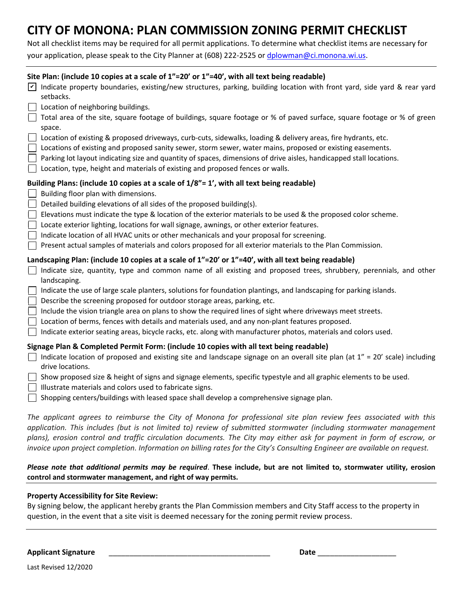# **CITY OF MONONA: PLAN COMMISSION ZONING PERMIT CHECKLIST**

Not all checklist items may be required for all permit applications. To determine what checklist items are necessary for your application, please speak to the City Planner at (608) 222-2525 or dplowman@ci.monona.wi.us.

| Site Plan: (include 10 copies at a scale of 1"=20' or 1"=40', with all text being readable) |                                                                                                                                                                                                |  |  |
|---------------------------------------------------------------------------------------------|------------------------------------------------------------------------------------------------------------------------------------------------------------------------------------------------|--|--|
| $\vert\mathbf{v}\vert$                                                                      | Indicate property boundaries, existing/new structures, parking, building location with front yard, side yard & rear yard<br>setbacks.                                                          |  |  |
|                                                                                             | Location of neighboring buildings.                                                                                                                                                             |  |  |
|                                                                                             | Total area of the site, square footage of buildings, square footage or % of paved surface, square footage or % of green<br>space.                                                              |  |  |
|                                                                                             | Location of existing & proposed driveways, curb-cuts, sidewalks, loading & delivery areas, fire hydrants, etc.                                                                                 |  |  |
|                                                                                             | Locations of existing and proposed sanity sewer, storm sewer, water mains, proposed or existing easements.                                                                                     |  |  |
|                                                                                             | Parking lot layout indicating size and quantity of spaces, dimensions of drive aisles, handicapped stall locations.                                                                            |  |  |
|                                                                                             | Location, type, height and materials of existing and proposed fences or walls.                                                                                                                 |  |  |
|                                                                                             | Building Plans: (include 10 copies at a scale of 1/8"= 1', with all text being readable)                                                                                                       |  |  |
|                                                                                             | Building floor plan with dimensions.                                                                                                                                                           |  |  |
|                                                                                             | Detailed building elevations of all sides of the proposed building(s).                                                                                                                         |  |  |
|                                                                                             | Elevations must indicate the type & location of the exterior materials to be used & the proposed color scheme.                                                                                 |  |  |
|                                                                                             | Locate exterior lighting, locations for wall signage, awnings, or other exterior features.                                                                                                     |  |  |
|                                                                                             | Indicate location of all HVAC units or other mechanicals and your proposal for screening.                                                                                                      |  |  |
|                                                                                             | Present actual samples of materials and colors proposed for all exterior materials to the Plan Commission.                                                                                     |  |  |
|                                                                                             | Landscaping Plan: (include 10 copies at a scale of 1"=20' or 1"=40', with all text being readable)                                                                                             |  |  |
|                                                                                             | Indicate size, quantity, type and common name of all existing and proposed trees, shrubbery, perennials, and other<br>landscaping.                                                             |  |  |
|                                                                                             | Indicate the use of large scale planters, solutions for foundation plantings, and landscaping for parking islands.<br>Describe the screening proposed for outdoor storage areas, parking, etc. |  |  |
|                                                                                             | Include the vision triangle area on plans to show the required lines of sight where driveways meet streets.                                                                                    |  |  |
|                                                                                             | Location of berms, fences with details and materials used, and any non-plant features proposed.                                                                                                |  |  |
|                                                                                             | Indicate exterior seating areas, bicycle racks, etc. along with manufacturer photos, materials and colors used.                                                                                |  |  |
|                                                                                             |                                                                                                                                                                                                |  |  |
|                                                                                             | Signage Plan & Completed Permit Form: (include 10 copies with all text being readable)                                                                                                         |  |  |
|                                                                                             | Indicate location of proposed and existing site and landscape signage on an overall site plan (at 1" = 20' scale) including<br>drive locations.                                                |  |  |
|                                                                                             | Show proposed size & height of signs and signage elements, specific typestyle and all graphic elements to be used.<br>Illustrate materials and colors used to fabricate signs.                 |  |  |
|                                                                                             | Shopping centers/buildings with leased space shall develop a comprehensive signage plan.                                                                                                       |  |  |
|                                                                                             | The annlicant agrees to reimburse the City of Monong for professional site plan review fees associated with this                                                                               |  |  |

*The applicant agrees to reimburse the City of Monona for professional site plan review fees associated with this application. This includes (but is not limited to) review of submitted stormwater (including stormwater management plans), erosion control and traffic circulation documents. The City may either ask for payment in form of escrow, or invoice upon project completion. Information on billing rates for the City's Consulting Engineer are available on request.*

#### *Please note that additional permits may be required*. **These include, but are not limited to, stormwater utility, erosion control and stormwater management, and right of way permits.**

#### **Property Accessibility for Site Review:**

By signing below, the applicant hereby grants the Plan Commission members and City Staff access to the property in question, in the event that a site visit is deemed necessary for the zoning permit review process.

**Applicant Signature** \_\_\_\_\_\_\_\_\_\_\_\_\_\_\_\_\_\_\_\_\_\_\_\_\_\_\_\_\_\_\_\_\_\_\_\_\_\_\_ **Date** \_\_\_\_\_\_\_\_\_\_\_\_\_\_\_\_\_\_\_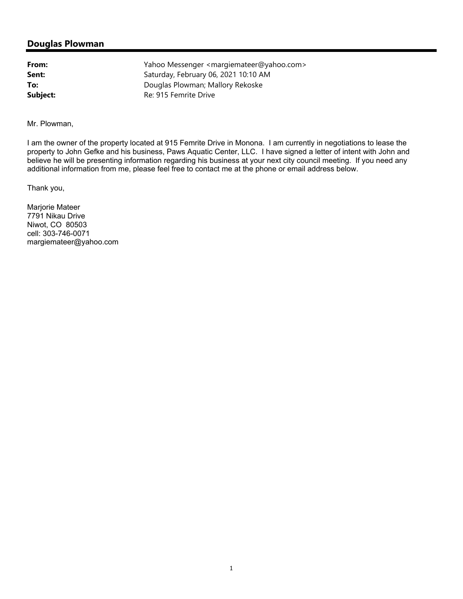#### **Douglas Plowman**

**From:** Yahoo Messenger <margiemateer@yahoo.com> **Sent:** Saturday, February 06, 2021 10:10 AM **To:** Douglas Plowman; Mallory Rekoske **Subject:** Re: 915 Femrite Drive

Mr. Plowman,

I am the owner of the property located at 915 Femrite Drive in Monona. I am currently in negotiations to lease the property to John Gefke and his business, Paws Aquatic Center, LLC. I have signed a letter of intent with John and believe he will be presenting information regarding his business at your next city council meeting. If you need any additional information from me, please feel free to contact me at the phone or email address below.

Thank you,

Marjorie Mateer 7791 Nikau Drive Niwot, CO 80503 cell: 303-746-0071 margiemateer@yahoo.com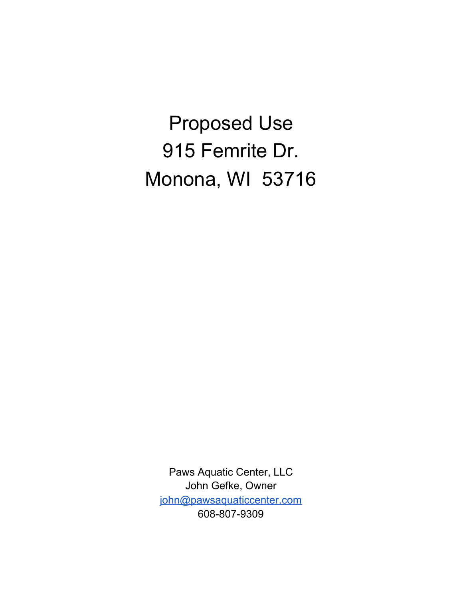Proposed Use 915 Femrite Dr. Monona, WI 53716

Paws Aquatic Center, LLC John Gefke, Owner john@pawsaquaticcenter.com 608-807-9309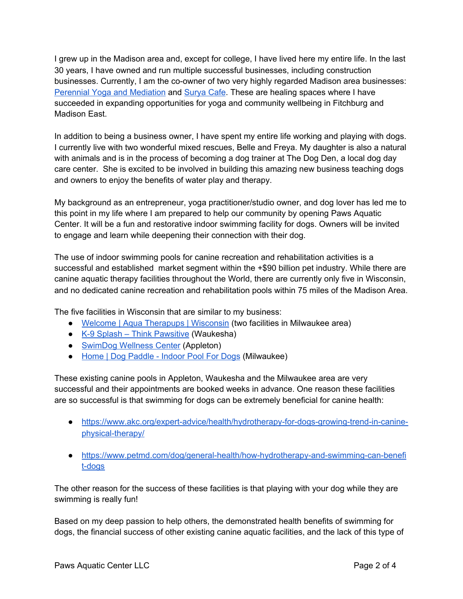I grew up in the Madison area and, except for college, I have lived here my entire life. In the last 30 years, I have owned and run multiple successful businesses, including construction businesses. Currently, I am the co-owner of two very highly regarded Madison area businesses: Perennial Yoga and Mediation and Surya Cafe. These are healing spaces where I have succeeded in expanding opportunities for yoga and community wellbeing in Fitchburg and Madison East.

In addition to being a business owner, I have spent my entire life working and playing with dogs. I currently live with two wonderful mixed rescues, Belle and Freya. My daughter is also a natural with animals and is in the process of becoming a dog trainer at The Dog Den, a local dog day care center. She is excited to be involved in building this amazing new business teaching dogs and owners to enjoy the benefits of water play and therapy.

My background as an entrepreneur, yoga practitioner/studio owner, and dog lover has led me to this point in my life where I am prepared to help our community by opening Paws Aquatic Center. It will be a fun and restorative indoor swimming facility for dogs. Owners will be invited to engage and learn while deepening their connection with their dog.

The use of indoor swimming pools for canine recreation and rehabilitation activities is a successful and established market segment within the +\$90 billion pet industry. While there are canine aquatic therapy facilities throughout the World, there are currently only five in Wisconsin, and no dedicated canine recreation and rehabilitation pools within 75 miles of the Madison Area.

The five facilities in Wisconsin that are similar to my business:

- Welcome | Aqua Therapups | Wisconsin (two facilities in Milwaukee area)
- K-9 Splash Think Pawsitive (Waukesha)
- SwimDog Wellness Center (Appleton)
- Home | Dog Paddle Indoor Pool For Dogs (Milwaukee)

These existing canine pools in Appleton, Waukesha and the Milwaukee area are very successful and their appointments are booked weeks in advance. One reason these facilities are so successful is that swimming for dogs can be extremely beneficial for canine health:

- https://www.akc.org/expert-advice/health/hydrotherapy-for-dogs-growing-trend-in-caninephysical-therapy/
- https://www.petmd.com/dog/general-health/how-hydrotherapy-and-swimming-can-benefi t-dogs

The other reason for the success of these facilities is that playing with your dog while they are swimming is really fun!

Based on my deep passion to help others, the demonstrated health benefits of swimming for dogs, the financial success of other existing canine aquatic facilities, and the lack of this type of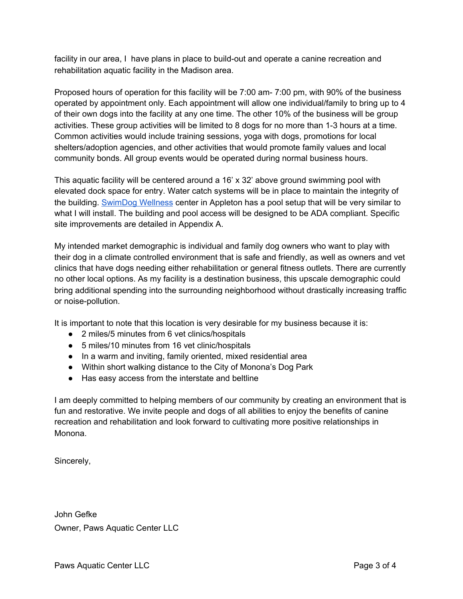facility in our area, I have plans in place to build-out and operate a canine recreation and rehabilitation aquatic facility in the Madison area.

Proposed hours of operation for this facility will be 7:00 am- 7:00 pm, with 90% of the business operated by appointment only. Each appointment will allow one individual/family to bring up to 4 of their own dogs into the facility at any one time. The other 10% of the business will be group activities. These group activities will be limited to 8 dogs for no more than 1-3 hours at a time. Common activities would include training sessions, yoga with dogs, promotions for local shelters/adoption agencies, and other activities that would promote family values and local community bonds. All group events would be operated during normal business hours.

This aquatic facility will be centered around a 16' x 32' above ground swimming pool with elevated dock space for entry. Water catch systems will be in place to maintain the integrity of the building. SwimDog Wellness center in Appleton has a pool setup that will be very similar to what I will install. The building and pool access will be designed to be ADA compliant. Specific site improvements are detailed in Appendix A.

My intended market demographic is individual and family dog owners who want to play with their dog in a climate controlled environment that is safe and friendly, as well as owners and vet clinics that have dogs needing either rehabilitation or general fitness outlets. There are currently no other local options. As my facility is a destination business, this upscale demographic could bring additional spending into the surrounding neighborhood without drastically increasing traffic or noise-pollution.

It is important to note that this location is very desirable for my business because it is:

- 2 miles/5 minutes from 6 vet clinics/hospitals
- 5 miles/10 minutes from 16 vet clinic/hospitals
- In a warm and inviting, family oriented, mixed residential area
- Within short walking distance to the City of Monona's Dog Park
- Has easy access from the interstate and beltline

I am deeply committed to helping members of our community by creating an environment that is fun and restorative. We invite people and dogs of all abilities to enjoy the benefits of canine recreation and rehabilitation and look forward to cultivating more positive relationships in Monona.

Sincerely,

John Gefke Owner, Paws Aquatic Center LLC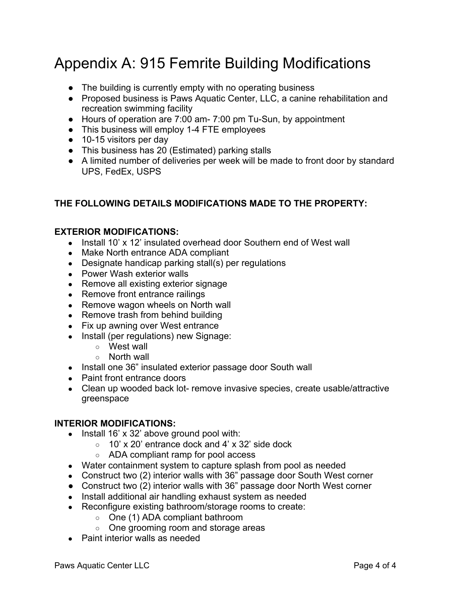# Appendix A: 915 Femrite Building Modifications

- The building is currently empty with no operating business
- Proposed business is Paws Aquatic Center, LLC, a canine rehabilitation and recreation swimming facility
- Hours of operation are 7:00 am 7:00 pm Tu-Sun, by appointment
- This business will employ 1-4 FTE employees
- 10-15 visitors per day
- This business has 20 (Estimated) parking stalls
- A limited number of deliveries per week will be made to front door by standard UPS, FedEx, USPS

## **THE FOLLOWING DETAILS MODIFICATIONS MADE TO THE PROPERTY:**

## **EXTERIOR MODIFICATIONS:**

- Install 10' x 12' insulated overhead door Southern end of West wall
- Make North entrance ADA compliant
- Designate handicap parking stall(s) per regulations
- Power Wash exterior walls
- Remove all existing exterior signage
- Remove front entrance railings
- Remove wagon wheels on North wall
- Remove trash from behind building
- Fix up awning over West entrance
- Install (per regulations) new Signage:
	- West wall
	- North wall
- Install one 36" insulated exterior passage door South wall
- Paint front entrance doors
- Clean up wooded back lot- remove invasive species, create usable/attractive greenspace

### **INTERIOR MODIFICATIONS:**

- Install 16' x 32' above ground pool with:
	- $\circ$  10' x 20' entrance dock and 4' x 32' side dock
	- ADA compliant ramp for pool access
- Water containment system to capture splash from pool as needed
- Construct two (2) interior walls with 36" passage door South West corner
- Construct two (2) interior walls with 36" passage door North West corner
- Install additional air handling exhaust system as needed
- Reconfigure existing bathroom/storage rooms to create:
	- One (1) ADA compliant bathroom
	- One grooming room and storage areas
- Paint interior walls as needed